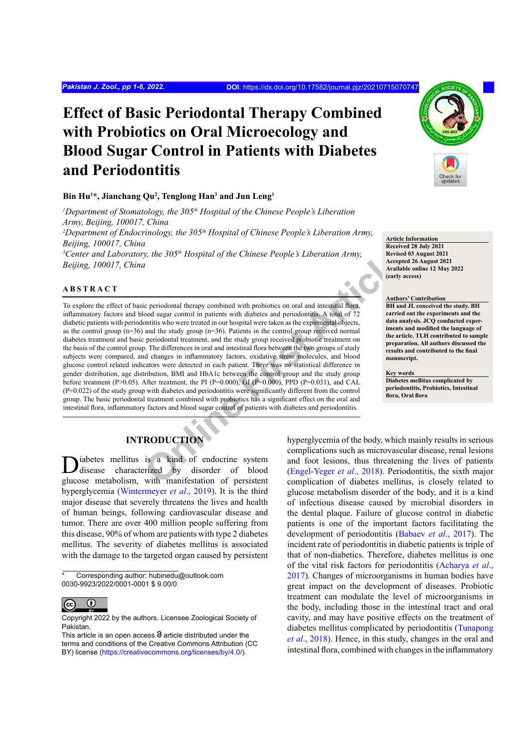# **Effect of Basic Periodontal Therapy Combined with Probiotics on Oral Microecology and Blood Sugar Control in Patients with Diabetes and Periodontitis**

#### **Bin Hu1 \*, Jianchang Qu2 , Tenglong Han3 and Jun Leng1**

<sup>1</sup>Department of Stomatology, the 305<sup>th</sup> Hospital of the Chinese People's Liberation *Army, Beijing, 100017, China* <sup>2</sup>Department of Endocrinology, the 305<sup>th</sup> Hospital of Chinese People's Liberation Army, *Beijing, 100017, China* <sup>3</sup> Center and Laboratory, the 305<sup>th</sup> Hospital of the Chinese People's Liberation Army, *Beijing, 100017, China*

#### **ABSTRACT**

**Example 1998** we supplied the Chinese People's Liberation Army,<br> **Example 1998** are all the conduct of the Chinese People's Liberation Army,<br> **Conduct the conduct Article** and the study are conduct and intestinal flock a To explore the effect of basic periodontal therapy combined with probiotics on oral and intestinal flora, inflammatory factors and blood sugar control in patients with diabetes and periodontitis. A total of 72 diabetic patients with periodontitis who were treated in our hospital were taken as the expirmental objects, as the control group (n=36) and the study group (n=36). Patients in the control group received normal diabetes treatment and basic periodontal treatment, and the study group received probiotic treatment on the basis of the control group. The differences in oral and intestinal flora between the two groups of study subjects were compared, and changes in inflammatory factors, oxidative stress molecules, and blood glucose control related indicators were detected in each patient. There was no statistical difference in gender distribution, age distribution, BMI and HbA1c between the control group and the study group before treatment (P>0.05). After treatment, the PI (P=0.000), GI (P=0.000), PPD (P=0.031), and CAL (P=0.022) of the study group with diabetes and periodontitis were significantly different from the control group. The basic periodontal treatment combined with probiotics has a significant effect on the oral and intestinal flora, inflammatory factors and blood sugar control of patients with diabetes and periodontitis.

**Article Information Received 28 July 2021 Revised 03 August 2021 Accepted 26 August 2021 Available online 12 May 2022 (early access)**

#### **Authors' Contribution**

**BH and JL conceived the study. BH carried out the experiments and the data analysis. JCQ conducted experiments and modified the language of the article. TLH contributed to sample preparation. All authors discussed the results and contributed to the final manuscript.**

**Key words Diabetes mellitus complicated by periodontitis, Probiotics, Intestinal flora, Oral flora**

## **INTRODUCTION**

Diabetes mellitus is a kind of endocrine system disease characterized by disorder of blood glucose metabolism, with manifestation of persistent hyperglycemia (Wintermeyer *et al*., 2019). It is the third major disease that severely threatens the lives and health of human beings, following cardiovascular disease and tumor. There are over 400 million people suffering from this disease, 90% of whom are patients with type 2 diabetes mellitus. The severity of diabetes mellitus is associated with the damage to the targeted organ caused by persistent

Corresponding author: hubinedu@outlook.com 0030-9923/2022/0001-0001 \$ 9.00/0



Copyright 2022 by the authors. Licensee Zoological Society of Pakistan.

hyperglycemia of the body, which mainly results in serious complications such as microvascular disease, renal lesions and foot lesions, thus threatening the lives of patients (Engel-Yeger *et al*., 2018). Periodontitis, the sixth major complication of diabetes mellitus, is closely related to glucose metabolism disorder of the body, and it is a kind of infectious disease caused by microbial disorders in the dental plaque. Failure of glucose control in diabetic patients is one of the important factors facilitating the development of periodontitis ([Babaev](#page-4-1) *et al*., 2017). The incident rate of periodontitis in diabetic patients is triple of that of non-diabetics. Therefore, diabetes mellitus is one of the vital risk factors for periodontitis [\(Acharya](#page-4-2) *et al*., [2017\)](#page-4-2). Changes of microorganisms in human bodies have great impact on the development of diseases. Probiotic treatment can modulate the level of microorganisms in the body, including those in the intestinal tract and oral cavity, and may have positive effects on the treatment of diabetes mellitus complicated by periodontitis [\(Tunapong](#page-4-3) *et al*[., 2018\)](#page-4-3). Hence, in this study, changes in the oral and intestinal flora, combined with changes in the inflammatory

This article is an open access  $\Theta$  article distributed under the terms and conditions of the Creative Commons Attribution (CC BY) license (https://creativecommons.org/licenses/by/4.0/).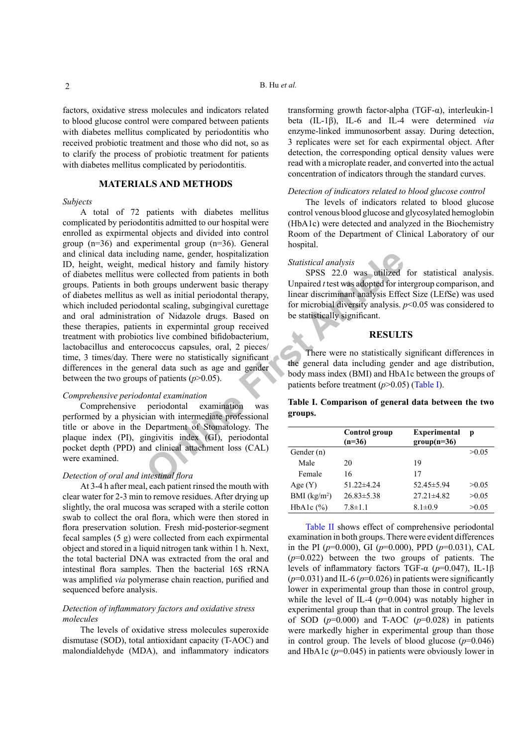factors, oxidative stress molecules and indicators related to blood glucose control were compared between patients with diabetes mellitus complicated by periodontitis who received probiotic treatment and those who did not, so as to clarify the process of probiotic treatment for patients with diabetes mellitus complicated by periodontitis.

### **MATERIALS AND METHODS**

#### *Subjects*

ding name, gender, hospitalization<br>
erec collected from patimity instroper<br>
ere collected from patients in both SPSS 22.0 was utilized<br>
the groups underwent basic therapy Unpaired *t* test was adopted for in<br>
well as init A total of 72 patients with diabetes mellitus complicated by periodontitis admitted to our hospital were enrolled as expirmental objects and divided into control group (n=36) and experimental group (n=36). General and clinical data including name, gender, hospitalization ID, height, weight, medical history and family history of diabetes mellitus were collected from patients in both groups. Patients in both groups underwent basic therapy of diabetes mellitus as well as initial periodontal therapy, which included periodontal scaling, subgingival curettage and oral administration of Nidazole drugs. Based on these therapies, patients in expermintal group received treatment with probiotics live combined bifidobacterium, lactobacillus and enterococcus capsules, oral, 2 pieces/ time, 3 times/day. There were no statistically significant differences in the general data such as age and gender between the two groups of patients  $(p>0.05)$ .

#### *Comprehensive periodontal examination*

Comprehensive periodontal examination was performed by a physician with intermediate professional title or above in the Department of Stomatology. The plaque index (PI), gingivitis index (GI), periodontal pocket depth (PPD) and clinical attachment loss (CAL) were examined.

#### *Detection of oral and intestinal flora*

At 3-4 h after meal, each patient rinsed the mouth with clear water for 2-3 min to remove residues. After drying up slightly, the oral mucosa was scraped with a sterile cotton swab to collect the oral flora, which were then stored in flora preservation solution. Fresh mid-posterior-segment fecal samples (5 g) were collected from each expirmental object and stored in a liquid nitrogen tank within 1 h. Next, the total bacterial DNA was extracted from the oral and intestinal flora samples. Then the bacterial 16S rRNA was amplified *via* polymerase chain reaction, purified and sequenced before analysis.

#### *Detection of inflammatory factors and oxidative stress molecules*

The levels of oxidative stress molecules superoxide dismutase (SOD), total antioxidant capacity (T-AOC) and malondialdehyde (MDA), and inflammatory indicators

transforming growth factor-alpha (TGF-α), interleukin-1 beta (IL-1β), IL-6 and IL-4 were determined *via* enzyme-linked immunosorbent assay. During detection, 3 replicates were set for each expirmental object. After detection, the corresponding optical density values were read with a microplate reader, and converted into the actual concentration of indicators through the standard curves.

#### *Detection of indicators related to blood glucose control*

The levels of indicators related to blood glucose control venous blood glucose and glycosylated hemoglobin (HbA1c) were detected and analyzed in the Biochemistry Room of the Department of Clinical Laboratory of our hospital.

#### *Statistical analysis*

SPSS 22.0 was utilized for statistical analysis. Unpaired *t* test was adopted for intergroup comparison, and linear discriminant analysis Effect Size (LEfSe) was used for microbial diversity analysis. *p*<0.05 was considered to be statistically significant.

#### **RESULTS**

There were no statistically significant differences in the general data including gender and age distribution, body mass index (BMI) and HbA1c between the groups of patients before treatment (*p*>0.05) (Table I).

#### **Table I. Comparison of general data between the two groups.**

|                          | Control group<br>$(n=36)$ | <b>Experimental</b><br>$group(n=36)$ | p     |
|--------------------------|---------------------------|--------------------------------------|-------|
| Gender (n)               |                           |                                      | >0.05 |
| Male                     | 20                        | 19                                   |       |
| Female                   | 16                        | 17                                   |       |
| Age(Y)                   | $51.22 \pm 4.24$          | $52.45 \pm 5.94$                     | >0.05 |
| BMI (kg/m <sup>2</sup> ) | $26.83 \pm 5.38$          | $27.21 \pm 4.82$                     | >0.05 |
| HbA1c $(\%)$             | $7.8 \pm 1.1$             | $8.1 \pm 0.9$                        | >0.05 |

[Table II](#page-2-0) shows effect of comprehensive periodontal examination in both groups. There were evident differences in the PI (*p*=0.000), GI (*p*=0.000), PPD (*p*=0.031), CAL (*p*=0.022) between the two groups of patients. The levels of inflammatory factors TGF-α (*p*=0.047), IL-1β  $(p=0.031)$  and IL-6 ( $p=0.026$ ) in patients were significantly lower in experimental group than those in control group, while the level of IL-4  $(p=0.004)$  was notably higher in experimental group than that in control group. The levels of SOD  $(p=0.000)$  and T-AOC  $(p=0.028)$  in patients were markedly higher in experimental group than those in control group. The levels of blood glucose  $(p=0.046)$ and HbA1c (*p*=0.045) in patients were obviously lower in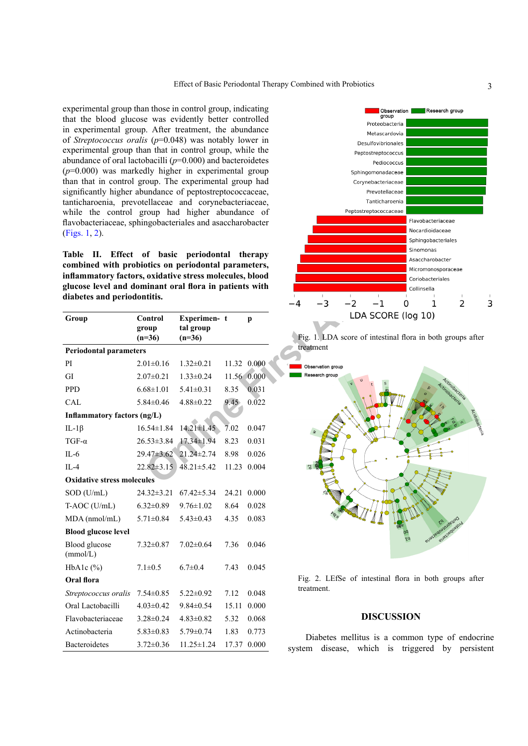experimental group than those in control group, indicating that the blood glucose was evidently better controlled in experimental group. After treatment, the abundance of *Streptococcus oralis* (*p*=0.048) was notably lower in experimental group than that in control group, while the abundance of oral lactobacilli (*p*=0.000) and bacteroidetes (*p*=0.000) was markedly higher in experimental group than that in control group. The experimental group had significantly higher abundance of peptostreptococcaceae, tanticharoenia, prevotellaceae and corynebacteriaceae, while the control group had higher abundance of flavobacteriaceae, sphingobacteriales and asaccharobacter [\(Figs. 1](#page-2-1), [2](#page-2-2)).

<span id="page-2-0"></span>

| Table<br>П.                                                                           |                              | Effect of basic periodontal therapy  |                   |             |                                                   |
|---------------------------------------------------------------------------------------|------------------------------|--------------------------------------|-------------------|-------------|---------------------------------------------------|
| combined with probiotics on periodontal parameters,                                   |                              |                                      |                   |             |                                                   |
| inflammatory factors, oxidative stress molecules, blood                               |                              |                                      |                   |             |                                                   |
| glucose level and dominant oral flora in patients with<br>diabetes and periodontitis. |                              |                                      |                   |             |                                                   |
|                                                                                       |                              |                                      |                   |             | $-1$<br>-3<br>$-2$<br>-4                          |
| Group                                                                                 | Control<br>group<br>$(n=36)$ | Experimen-t<br>tal group<br>$(n=36)$ |                   | p           | LDA SCORE (<br>Fig. 1. LDA score of intestinal fl |
| <b>Periodontal parameters</b>                                                         |                              |                                      |                   |             | treatment                                         |
| PI                                                                                    | $2.01 \pm 0.16$              | $1.32 \pm 0.21$                      |                   | 11.32 0.000 | Observation group                                 |
| GI                                                                                    | $2.07 \pm 0.21$              | $1.33 \pm 0.24$                      |                   | 11.56 0.000 | Research group                                    |
| <b>PPD</b>                                                                            | $6.68 \pm 1.01$              | $5.41 \pm 0.31$                      | 8.35              | 0.031       |                                                   |
| CAL                                                                                   | $5.84 \pm 0.46$              | $4.88 \pm 0.22$                      | 9.45              | 0.022       |                                                   |
| <b>Inflammatory factors (ng/L)</b>                                                    |                              |                                      |                   |             |                                                   |
| IL-1 $\beta$                                                                          | $16.54 \pm 1.84$             | $14.21 \pm 1.45$                     | $\overline{7.02}$ | 0.047       |                                                   |
| $TGF-\alpha$                                                                          | $26.53 \pm 3.84$             | 17.34±1.94                           | 8.23              | 0.031       |                                                   |
| $IL-6$                                                                                | 29.47±3.62                   | $21.24 \pm 2.74$                     | 8.98              | 0.026       |                                                   |
| $II -4$                                                                               |                              | $22.82 \pm 3.15$ $48.21 \pm 5.42$    |                   | 11.23 0.004 |                                                   |
| <b>Oxidative stress molecules</b>                                                     |                              |                                      |                   |             |                                                   |
| SOD (U/mL)                                                                            | $24.32 \pm 3.21$             | $67.42 \pm 5.34$                     |                   | 24.21 0.000 |                                                   |
| T-AOC (U/mL)                                                                          | $6.32 \pm 0.89$              | $9.76 \pm 1.02$                      | 8.64              | 0.028       |                                                   |
| MDA (nmol/mL)                                                                         | $5.71 \pm 0.84$              | $5.43 \pm 0.43$                      | 4.35              | 0.083       |                                                   |
| <b>Blood glucose level</b>                                                            |                              |                                      |                   |             |                                                   |
| Blood glucose<br>(mmol/L)                                                             | $7.32 \pm 0.87$              | $7.02 \pm 0.64$                      | 7.36              | 0.046       |                                                   |
| HbA1c $(\% )$                                                                         | $7.1 \pm 0.5$                | $6.7 \pm 0.4$                        | 7.43              | 0.045       |                                                   |
| Oral flora                                                                            |                              |                                      |                   |             | Fig. 2. LEfSe of intestinal flor                  |
| Streptococcus oralis                                                                  | $7.54 \pm 0.85$              | $5.22 \pm 0.92$                      | 7.12              | 0.048       | treatment.                                        |
| Oral Lactobacilli                                                                     | $4.03 \pm 0.42$              | $9.84 \pm 0.54$                      |                   | 15.11 0.000 |                                                   |
| Flavobacteriaceae                                                                     | $3.28 \pm 0.24$              | $4.83 \pm 0.82$                      | 5.32              | 0.068       | <b>DISCUSSI</b>                                   |
| Actinobacteria                                                                        | $5.83 \pm 0.83$              | $5.79 \pm 0.74$                      | 1.83              | 0.773       | Diabetes mellitus is a com                        |
| <b>Bacteroidetes</b>                                                                  | $3.72 \pm 0.36$              | $11.25 \pm 1.24$                     |                   | 17.37 0.000 | system disease which is to                        |



<span id="page-2-1"></span>Fig. 1. LDA score of intestinal flora in both groups after treatment



<span id="page-2-2"></span>Fig. 2. LEfSe of intestinal flora in both groups after treatment.

#### **DISCUSSION**

Diabetes mellitus is a common type of endocrine system disease, which is triggered by persistent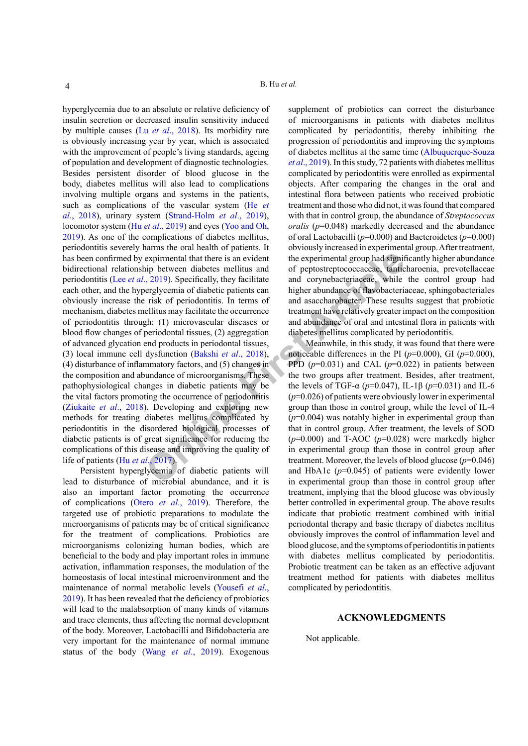expirmental that there is an evident<br>
in postential group had signif<br>
in postential and of peptostreptococcaceae, tantic<br>
complemental group had significant<br>
complemental and corynebacteriaceae, while<br>
relisting and diabe hyperglycemia due to an absolute or relative deficiency of insulin secretion or decreased insulin sensitivity induced by multiple causes (Lu *et al*[., 2018](#page-4-4)). Its morbidity rate is obviously increasing year by year, which is associated with the improvement of people's living standards, ageing of population and development of diagnostic technologies. Besides persistent disorder of blood glucose in the body, diabetes mellitus will also lead to complications involving multiple organs and systems in the patients, such as complications of the vascular system ([He](#page-4-5) *et al*[., 2018\)](#page-4-5), urinary system ([Strand-Holm](#page-4-6) *et al*., 2019), locomotor system (Hu *et al*[., 2019](#page-4-7)) and eyes [\(Yoo and Oh,](#page-5-0) [2019\)](#page-5-0). As one of the complications of diabetes mellitus, periodontitis severely harms the oral health of patients. It has been confirmed by expirmental that there is an evident bidirectional relationship between diabetes mellitus and periodontitis (Lee *et al*., 2019). Specifically, they facilitate each other, and the hyperglycemia of diabetic patients can obviously increase the risk of periodontitis. In terms of mechanism, diabetes mellitus may facilitate the occurrence of periodontitis through: (1) microvascular diseases or blood flow changes of periodontal tissues, (2) aggregation of advanced glycation end products in periodontal tissues, (3) local immune cell dysfunction (Bakshi *et al*., 2018), (4) disturbance of inflammatory factors, and (5) changes in the composition and abundance of microorganisms. These pathophysiological changes in diabetic patients may be the vital factors promoting the occurrence of periodontitis [\(Ziukaite](#page-5-1) *et al*., 2018). Developing and exploring new methods for treating diabetes mellitus complicated by periodontitis in the disordered biological processes of diabetic patients is of great significance for reducing the complications of this disease and improving the quality of life of patients (Hu *et al*., 2017).

Persistent hyperglycemia of diabetic patients will lead to disturbance of microbial abundance, and it is also an important factor promoting the occurrence of complications (Otero *et al*., 2019). Therefore, the targeted use of probiotic preparations to modulate the microorganisms of patients may be of critical significance for the treatment of complications. Probiotics are microorganisms colonizing human bodies, which are beneficial to the body and play important roles in immune activation, inflammation responses, the modulation of the homeostasis of local intestinal microenvironment and the maintenance of normal metabolic levels ([Yousefi](#page-5-2) *et al*., [2019\)](#page-5-2). It has been revealed that the deficiency of probiotics will lead to the malabsorption of many kinds of vitamins and trace elements, thus affecting the normal development of the body. Moreover, Lactobacilli and Bifidobacteria are very important for the maintenance of normal immune status of the body (Wang *et al*., 2019). Exogenous

supplement of probiotics can correct the disturbance of microorganisms in patients with diabetes mellitus complicated by periodontitis, thereby inhibiting the progression of periodontitis and improving the symptoms of diabetes mellitus at the same time ([Albuquerque-Souza](#page-4-10)  *et al*[., 2019](#page-4-10)). In this study, 72 patients with diabetes mellitus complicated by periodontitis were enrolled as expirmental objects. After comparing the changes in the oral and intestinal flora between patients who received probiotic treatment and those who did not, it was found that compared with that in control group, the abundance of *Streptococcus oralis* (*p*=0.048) markedly decreased and the abundance of oral Lactobacilli (*p*=0.000) and Bacteroidetes (*p*=0.000) obviously increased in experimental group. After treatment, the experimental group had significantly higher abundance of peptostreptococcaceae, tanticharoenia, prevotellaceae and corynebacteriaceae, while the control group had higher abundance of flavobacteriaceae, sphingobacteriales and asaccharobacter. These results suggest that probiotic treatment have relatively greater impact on the composition and abundance of oral and intestinal flora in patients with diabetes mellitus complicated by periodontitis.

Meanwhile, in this study, it was found that there were noticeable differences in the PI  $(p=0.000)$ , GI  $(p=0.000)$ , PPD  $(p=0.031)$  and CAL  $(p=0.022)$  in patients between the two groups after treatment. Besides, after treatment, the levels of TGF-α (*p*=0.047), IL-1β (*p*=0.031) and IL-6 (*p*=0.026) of patients were obviously lower in experimental group than those in control group, while the level of IL-4 (*p*=0.004) was notably higher in experimental group than that in control group. After treatment, the levels of SOD (*p*=0.000) and T-AOC (*p*=0.028) were markedly higher in experimental group than those in control group after treatment. Moreover, the levels of blood glucose  $(p=0.046)$ and HbA1c (*p*=0.045) of patients were evidently lower in experimental group than those in control group after treatment, implying that the blood glucose was obviously better controlled in experimental group. The above results indicate that probiotic treatment combined with initial periodontal therapy and basic therapy of diabetes mellitus obviously improves the control of inflammation level and blood glucose, and the symptoms of periodontitis in patients with diabetes mellitus complicated by periodontitis. Probiotic treatment can be taken as an effective adjuvant treatment method for patients with diabetes mellitus complicated by periodontitis.

#### **ACKNOWLEDGMENTS**

Not applicable.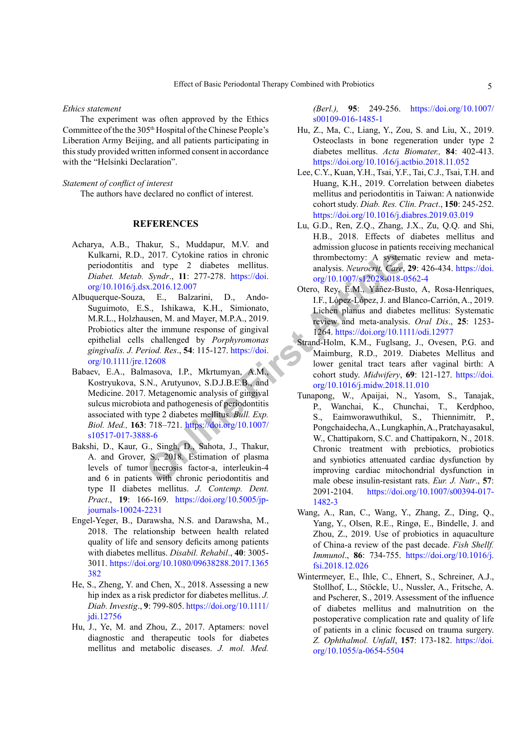#### *Ethics statement*

The experiment was often approved by the Ethics Committee of the the 305th Hospital of the Chinese People's Liberation Army Beijing, and all patients participating in this study provided written informed consent in accordance with the "Helsinki Declaration".

#### *Statement of conflict of interest*

The authors have declared no conflict of interest.

#### **REFERENCES**

- <span id="page-4-2"></span>Acharya, A.B., Thakur, S., Muddapur, M.V. and Kulkarni, R.D., 2017. Cytokine ratios in chronic periodontitis and type 2 diabetes mellitus. *Diabet. Metab. Syndr*., **11**: 277-278. https://doi. [org/10.1016/j.dsx.2016.12.007](https://doi.org/10.1016/j.dsx.2016.12.007)
- <span id="page-4-10"></span>Albuquerque-Souza, E., Balzarini, D., Ando-Suguimoto, E.S., Ishikawa, K.H., Simionato, M.R.L., Holzhausen, M. and Mayer, M.P.A., 2019. Probiotics alter the immune response of gingival epithelial cells challenged by *Porphyromonas gingivalis. J. Period. Res*., **54**: 115-127. https://doi. [org/10.1111/jre.12608](https://doi.org/10.1111/jre.12608)
- <span id="page-4-1"></span>Babaev, E.A., Balmasova, I.P., Mkrtumyan, A.M., Kostryukova, S.N., Arutyunov, S.D.J.B.E.B., and Medicine. 2017. Metagenomic analysis of gingival sulcus microbiota and pathogenesis of periodontitis associated with type 2 diabetes mellitus. *Bull. Exp. Biol. Med.,* **163**: 718–721. https://doi.org/10.1007/ [s10517-017-3888-6](https://doi.org/10.1007/s10517-017-3888-6)
- <span id="page-4-9"></span>Bakshi, D., Kaur, G., Singh, D., Sahota, J., Thakur, A. and Grover, S., 2018. Estimation of plasma levels of tumor necrosis factor-a, interleukin-4 and 6 in patients with chronic periodontitis and type II diabetes mellitus. *J. Contemp. Dent. Pract*., **19**: 166-169. [https://doi.org/10.5005/jp](https://doi.org/10.5005/jp-journals-10024-2231)[journals-10024-2231](https://doi.org/10.5005/jp-journals-10024-2231)
- <span id="page-4-0"></span>Engel-Yeger, B., Darawsha, N.S. and Darawsha, M., 2018. The relationship between health related quality of life and sensory deficits among patients with diabetes mellitus. *Disabil. Rehabil*., **40**: 3005- 3011. [https://doi.org/10.1080/09638288.2017.1365](https://doi.org/10.1080/09638288.2017.1365382) [382](https://doi.org/10.1080/09638288.2017.1365382)
- <span id="page-4-5"></span>He, S., Zheng, Y. and Chen, X., 2018. Assessing a new hip index as a risk predictor for diabetes mellitus. *J. Diab. Investig*., **9**: 799-805. [https://doi.org/10.1111/](https://doi.org/10.1111/jdi.12756) [jdi.12756](https://doi.org/10.1111/jdi.12756)
- <span id="page-4-7"></span>Hu, J., Ye, M. and Zhou, Z., 2017. Aptamers: novel diagnostic and therapeutic tools for diabetes mellitus and metabolic diseases. *J. mol. Med.*

*(Berl.),* **95**: 249-256. [https://doi.org/10.1007/](https://doi.org/10.1007/s00109-016-1485-1) [s00109-016-1485-1](https://doi.org/10.1007/s00109-016-1485-1)

- Hu, Z., Ma, C., Liang, Y., Zou, S. and Liu, X., 2019. Osteoclasts in bone regeneration under type 2 diabetes mellitus. *Acta Biomater.,* **84**: 402-413. <https://doi.org/10.1016/j.actbio.2018.11.052>
- <span id="page-4-8"></span>Lee, C.Y., Kuan, Y.H., Tsai, Y.F., Tai, C.J., Tsai, T.H. and Huang, K.H., 2019. Correlation between diabetes mellitus and periodontitis in Taiwan: A nationwide cohort study. *Diab. Res. Clin. Pract*., **150**: 245-252. <https://doi.org/10.1016/j.diabres.2019.03.019>
- <span id="page-4-4"></span>Lu, G.D., Ren, Z.Q., Zhang, J.X., Zu, Q.Q. and Shi, H.B., 2018. Effects of diabetes mellitus and admission glucose in patients receiving mechanical thrombectomy: A systematic review and metaanalysis. *Neurocrit. Care*, **29**: 426-434. [https://doi.](https://doi.org/10.1007/s12028-018-0562-4) org/10.1007/s12028-018-0562-4
- Otero, Rey, E.M., Yáñez-Busto, A, Rosa-Henriques, I.F., López-López, J. and Blanco-Carrión, A., 2019. Lichen planus and diabetes mellitus: Systematic review and meta-analysis. *Oral Dis*., **25**: 1253- 1264.<https://doi.org/10.1111/odi.12977>
- <span id="page-4-6"></span><span id="page-4-3"></span>Strand-Holm, K.M., Fuglsang, J., Ovesen, P.G. and Maimburg, R.D., 2019. Diabetes Mellitus and lower genital tract tears after vaginal birth: A cohort study. *Midwifery*, **69**: 121-127. [https://doi.](https://doi.org/10.1016/j.midw.2018.11.010) org/10.1016/j.midw.2018.11.010
- 2017. Cytokine [r](https://doi.org/10.1111/jre.12608)atios in chronic thrombectomy: A system<br>
Syndr., 11: 277-278. https://doi.<br>
S., 2016.12.007<br>
F., Balzarini, D., Ando-<br>
I.F., López-López, J. and Kaye, E., Balzarini, D., Ando-<br>
I.F., López-López, J. and Has Tunapong, W., Apaijai, N., Yasom, S., Tanajak, P., Wanchai, K., Chunchai, T., Kerdphoo, S., Eaimworawuthikul, S., Thiennimitr, P., Pongchaidecha, A., Lungkaphin, A., Pratchayasakul, W., Chattipakorn, S.C. and Chattipakorn, N., 2018. Chronic treatment with prebiotics, probiotics and synbiotics attenuated cardiac dysfunction by improving cardiac mitochondrial dysfunction in male obese insulin-resistant rats. *Eur. J. Nutr*., **57**: 2091-2104. [https://doi.org/10.1007/s00394-017-](https://doi.org/10.1007/s00394-017-1482-3) [1482-3](https://doi.org/10.1007/s00394-017-1482-3)
	- Wang, A., Ran, C., Wang, Y., Zhang, Z., Ding, Q., Yang, Y., Olsen, R.E., Ringø, E., Bindelle, J. and Zhou, Z., 2019. Use of probiotics in aquaculture of China-a review of the past decade. *Fish Shellf. Immunol*., **86**: 734-755. [https://doi.org/10.1016/j.](https://doi.org/10.1016/j.fsi.2018.12.026) [fsi.2018.12.026](https://doi.org/10.1016/j.fsi.2018.12.026)
	- Wintermeyer, E., Ihle, C., Ehnert, S., Schreiner, A.J., Stollhof, L., Stöckle, U., Nussler, A., Fritsche, A. and Pscherer, S., 2019. Assessment of the influence of diabetes mellitus and malnutrition on the postoperative complication rate and quality of life of patients in a clinic focused on trauma surgery. *Z. Ophthalmol. Unfall*, **157**: 173-182. [https://doi.](https://doi.org/10.1055/a-0654-5504) [org/10.1055/a-0654-5504](https://doi.org/10.1055/a-0654-5504)